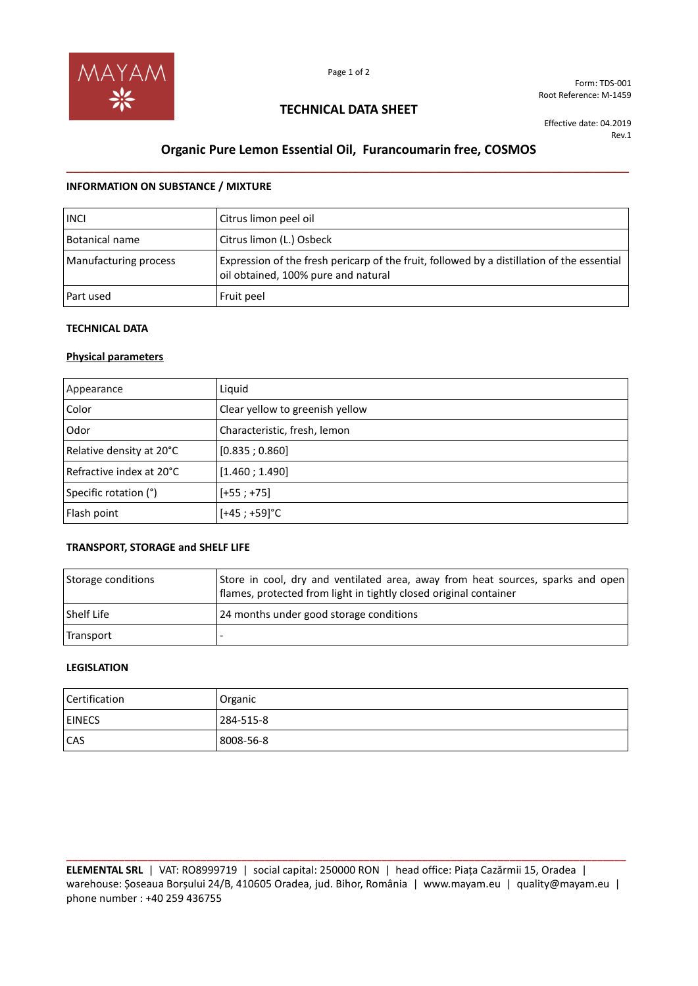

Form: TDS-001 Root Reference: M-1459

## **TECHNICAL DATA SHEET**

Effective date: 04.2019 Rev.1

# **Organic Pure Lemon Essential Oil, Furancoumarin free, COSMOS \_\_\_\_\_\_\_\_\_\_\_\_\_\_\_\_\_\_\_\_\_\_\_\_\_\_\_\_\_\_\_\_\_\_\_\_\_\_\_\_\_\_\_\_\_\_\_\_\_\_\_\_\_\_\_\_\_\_\_\_\_\_\_\_\_\_\_\_\_\_\_\_\_\_\_\_\_\_\_\_**

### **INFORMATION ON SUBSTANCE / MIXTURE**

| <b>INCI</b>           | Citrus limon peel oil                                                                                                             |
|-----------------------|-----------------------------------------------------------------------------------------------------------------------------------|
| Botanical name        | Citrus limon (L.) Osbeck                                                                                                          |
| Manufacturing process | Expression of the fresh pericarp of the fruit, followed by a distillation of the essential<br>oil obtained, 100% pure and natural |
| Part used             | Fruit peel                                                                                                                        |

### **TECHNICAL DATA**

## **Physical parameters**

| Appearance               | Liquid                          |
|--------------------------|---------------------------------|
| Color                    | Clear yellow to greenish yellow |
| Odor                     | Characteristic, fresh, lemon    |
| Relative density at 20°C | [0.835; 0.860]                  |
| Refractive index at 20°C | [1.460; 1.490]                  |
| Specific rotation (°)    | $[-55; +75]$                    |
| Flash point              | $[+45; +59]$ °C                 |

## **TRANSPORT, STORAGE and SHELF LIFE**

| Storage conditions | Store in cool, dry and ventilated area, away from heat sources, sparks and open<br>flames, protected from light in tightly closed original container |
|--------------------|------------------------------------------------------------------------------------------------------------------------------------------------------|
| <b>Shelf Life</b>  | 24 months under good storage conditions                                                                                                              |
| Transport          |                                                                                                                                                      |

#### **LEGISLATION**

| Certification | Organic   |
|---------------|-----------|
| <b>EINECS</b> | 284-515-8 |
| CAS           | 8008-56-8 |

**\_\_\_\_\_\_\_\_\_\_\_\_\_\_\_\_\_\_\_\_\_\_\_\_\_\_\_\_\_\_\_\_\_\_\_\_\_\_\_\_\_\_\_\_\_\_\_\_\_\_\_\_\_\_\_\_\_\_\_\_\_\_\_\_\_\_\_\_\_\_\_\_\_\_\_\_\_\_\_\_\_\_\_\_\_\_\_\_\_\_\_\_\_\_\_\_ ELEMENTAL SRL** | VAT: RO8999719 | social capital: 250000 RON | head office: Piața Cazărmii 15, Oradea | warehouse: Șoseaua Borșului 24/B, 410605 Oradea, jud. Bihor, România | www.mayam.eu | quality@mayam.eu | phone number : +40 259 436755